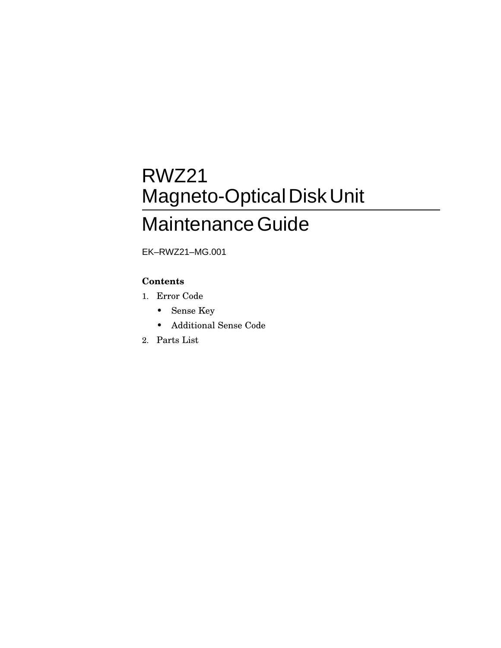## RWZ21 Magneto-Optical Disk Unit Maintenance Guide

EK–RWZ21–MG.001

#### **Contents**

- 1. Error Code
	- Sense Key
	- Additional Sense Code
- 2. Parts List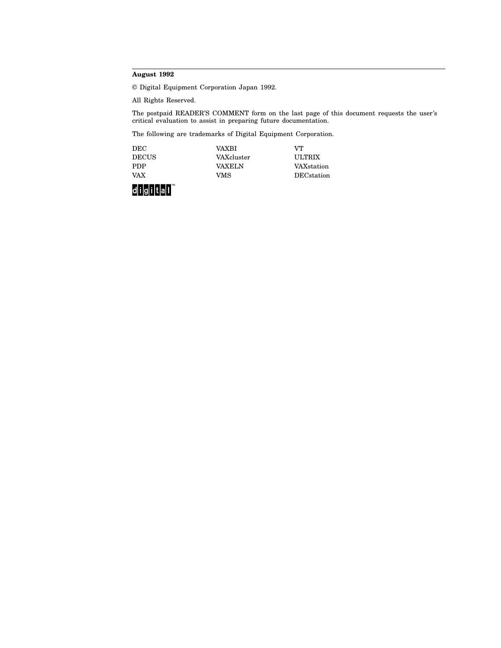#### **August 1992**

© Digital Equipment Corporation Japan 1992.

All Rights Reserved.

The postpaid READER'S COMMENT form on the last page of this document requests the user's critical evaluation to assist in preparing future documentation.

The following are trademarks of Digital Equipment Corporation.

| <b>DEC</b>   | VAXRI         | VТ                 |
|--------------|---------------|--------------------|
| <b>DECUS</b> | VAXcluster    | <b>ULTRIX</b>      |
| <b>PDP</b>   | <b>VAXELN</b> | VAXstation         |
| <b>VAX</b>   | VMS           | <b>DEC</b> station |

digital<sup>"</sup>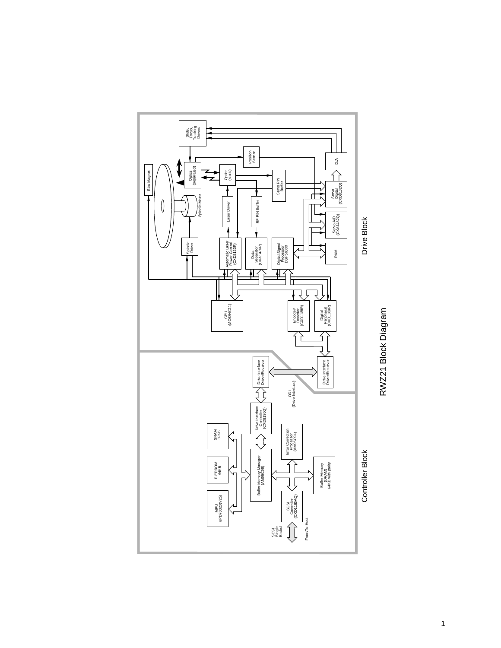

RWZ21 Block Diagram RWZ21 Block Diagram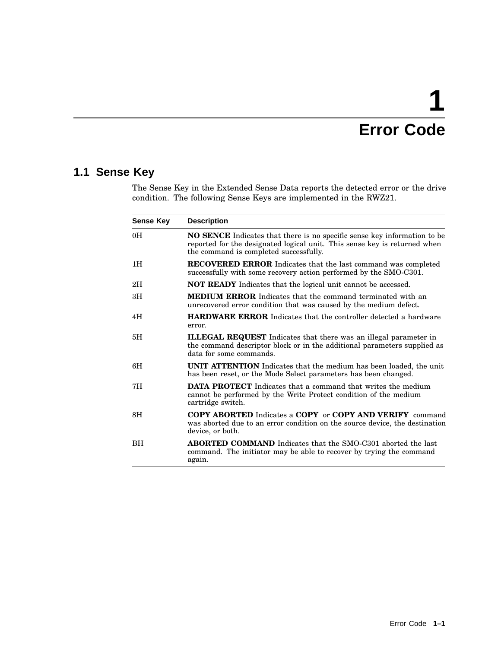# **1 Error Code**

### **1.1 Sense Key**

The Sense Key in the Extended Sense Data reports the detected error or the drive condition. The following Sense Keys are implemented in the RWZ21.

| <b>Sense Key</b> | <b>Description</b>                                                                                                                                                                                     |
|------------------|--------------------------------------------------------------------------------------------------------------------------------------------------------------------------------------------------------|
| 0H               | <b>NO SENCE</b> Indicates that there is no specific sense key information to be<br>reported for the designated logical unit. This sense key is returned when<br>the command is completed successfully. |
| 1H               | <b>RECOVERED ERROR</b> Indicates that the last command was completed<br>successfully with some recovery action performed by the SMO-C301.                                                              |
| 2H               | <b>NOT READY</b> Indicates that the logical unit cannot be accessed.                                                                                                                                   |
| 3H               | <b>MEDIUM ERROR</b> Indicates that the command terminated with an<br>unrecovered error condition that was caused by the medium defect.                                                                 |
| 4H               | <b>HARDWARE ERROR</b> Indicates that the controller detected a hardware<br>error.                                                                                                                      |
| 5H               | <b>ILLEGAL REQUEST</b> Indicates that there was an illegal parameter in<br>the command descriptor block or in the additional parameters supplied as<br>data for some commands.                         |
| 6H               | <b>UNIT ATTENTION</b> Indicates that the medium has been loaded, the unit<br>has been reset, or the Mode Select parameters has been changed.                                                           |
| 7H               | <b>DATA PROTECT</b> Indicates that a command that writes the medium<br>cannot be performed by the Write Protect condition of the medium<br>cartridge switch.                                           |
| 8H               | <b>COPY ABORTED</b> Indicates a <b>COPY</b> or <b>COPY AND VERIFY</b> command<br>was aborted due to an error condition on the source device, the destination<br>device, or both.                       |
| BH               | <b>ABORTED COMMAND</b> Indicates that the SMO-C301 aborted the last<br>command. The initiator may be able to recover by trying the command<br>again.                                                   |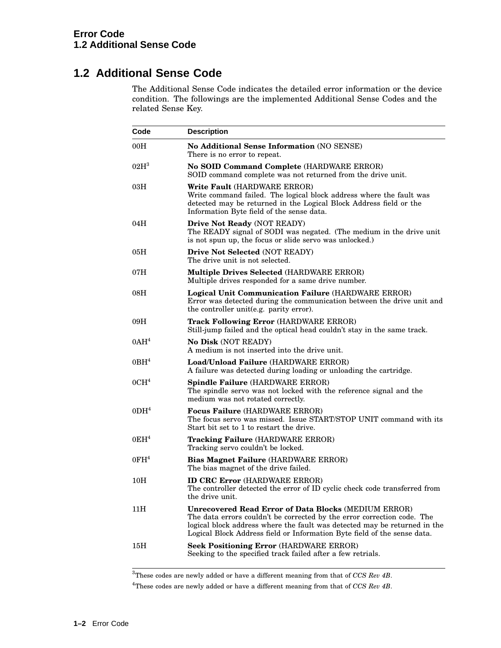### **1.2 Additional Sense Code**

The Additional Sense Code indicates the detailed error information or the device condition. The followings are the implemented Additional Sense Codes and the related Sense Key.

| Code             | <b>Description</b>                                                                                                                                                                                                                                                                              |
|------------------|-------------------------------------------------------------------------------------------------------------------------------------------------------------------------------------------------------------------------------------------------------------------------------------------------|
| 00H              | <b>No Additional Sense Information (NO SENSE)</b><br>There is no error to repeat.                                                                                                                                                                                                               |
| 02H <sup>3</sup> | No SOID Command Complete (HARDWARE ERROR)<br>SOID command complete was not returned from the drive unit.                                                                                                                                                                                        |
| 03H              | Write Fault (HARDWARE ERROR)<br>Write command failed. The logical block address where the fault was<br>detected may be returned in the Logical Block Address field or the<br>Information Byte field of the sense data.                                                                          |
| 04H              | Drive Not Ready (NOT READY)<br>The READY signal of SODI was negated. (The medium in the drive unit<br>is not spun up, the focus or slide servo was unlocked.)                                                                                                                                   |
| 05H              | Drive Not Selected (NOT READY)<br>The drive unit is not selected.                                                                                                                                                                                                                               |
| 07H              | Multiple Drives Selected (HARDWARE ERROR)<br>Multiple drives responded for a same drive number.                                                                                                                                                                                                 |
| 08H              | Logical Unit Communication Failure (HARDWARE ERROR)<br>Error was detected during the communication between the drive unit and<br>the controller unit(e.g. parity error).                                                                                                                        |
| 09H              | <b>Track Following Error (HARDWARE ERROR)</b><br>Still-jump failed and the optical head couldn't stay in the same track.                                                                                                                                                                        |
| 0AH <sup>4</sup> | <b>No Disk (NOT READY)</b><br>A medium is not inserted into the drive unit.                                                                                                                                                                                                                     |
| 0BH <sup>4</sup> | Load/Unload Failure (HARDWARE ERROR)<br>A failure was detected during loading or unloading the cartridge.                                                                                                                                                                                       |
| 0CH <sup>4</sup> | Spindle Failure (HARDWARE ERROR)<br>The spindle servo was not locked with the reference signal and the<br>medium was not rotated correctly.                                                                                                                                                     |
| 0 <sup>14</sup>  | <b>Focus Failure (HARDWARE ERROR)</b><br>The focus servo was missed. Issue START/STOP UNIT command with its<br>Start bit set to 1 to restart the drive.                                                                                                                                         |
| 0EH <sup>4</sup> | Tracking Failure (HARDWARE ERROR)<br>Tracking servo couldn't be locked.                                                                                                                                                                                                                         |
| 0FH <sup>4</sup> | Bias Magnet Failure (HARDWARE ERROR)<br>The bias magnet of the drive failed.                                                                                                                                                                                                                    |
| 10H              | <b>ID CRC Error</b> (HARDWARE ERROR)<br>The controller detected the error of ID cyclic check code transferred from<br>the drive unit.                                                                                                                                                           |
| 11H              | <b>Unrecovered Read Error of Data Blocks (MEDIUM ERROR)</b><br>The data errors couldn't be corrected by the error correction code. The<br>logical block address where the fault was detected may be returned in the<br>Logical Block Address field or Information Byte field of the sense data. |
| 15H              | <b>Seek Positioning Error (HARDWARE ERROR)</b><br>Seeking to the specified track failed after a few retrials.                                                                                                                                                                                   |

<sup>3</sup>These codes are newly added or have a different meaning from that of *CCS Rev 4B*.

<sup>4</sup>These codes are newly added or have a different meaning from that of *CCS Rev 4B*.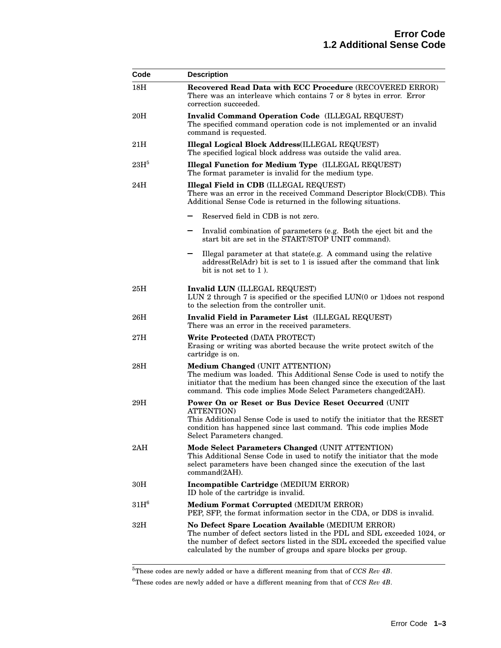| Code             | <b>Description</b>                                                                                                                                                                                                                                                             |
|------------------|--------------------------------------------------------------------------------------------------------------------------------------------------------------------------------------------------------------------------------------------------------------------------------|
| 18 <sub>H</sub>  | Recovered Read Data with ECC Procedure (RECOVERED ERROR)<br>There was an interleave which contains 7 or 8 bytes in error. Error<br>correction succeeded.                                                                                                                       |
| 20H              | <b>Invalid Command Operation Code (ILLEGAL REQUEST)</b><br>The specified command operation code is not implemented or an invalid<br>command is requested.                                                                                                                      |
| 21H              | <b>Illegal Logical Block Address(ILLEGAL REQUEST)</b><br>The specified logical block address was outside the valid area.                                                                                                                                                       |
| 23H <sup>5</sup> | <b>Illegal Function for Medium Type</b> (ILLEGAL REQUEST)<br>The format parameter is invalid for the medium type.                                                                                                                                                              |
| 24H              | <b>Illegal Field in CDB</b> (ILLEGAL REQUEST)<br>There was an error in the received Command Descriptor Block(CDB). This<br>Additional Sense Code is returned in the following situations.                                                                                      |
|                  | Reserved field in CDB is not zero.                                                                                                                                                                                                                                             |
|                  | Invalid combination of parameters (e.g. Both the eject bit and the<br>start bit are set in the START/STOP UNIT command).                                                                                                                                                       |
|                  | Illegal parameter at that state(e.g. A command using the relative<br>address (RelAdr) bit is set to 1 is issued after the command that link<br>bit is not set to 1).                                                                                                           |
| 25H              | Invalid LUN (ILLEGAL REQUEST)<br>LUN 2 through 7 is specified or the specified LUN(0 or 1)does not respond<br>to the selection from the controller unit.                                                                                                                       |
| 26H              | Invalid Field in Parameter List (ILLEGAL REQUEST)<br>There was an error in the received parameters.                                                                                                                                                                            |
| 27H              | Write Protected (DATA PROTECT)<br>Erasing or writing was aborted because the write protect switch of the<br>cartridge is on.                                                                                                                                                   |
| $28\mathrm{H}$   | Medium Changed (UNIT ATTENTION)<br>The medium was loaded. This Additional Sense Code is used to notify the<br>initiator that the medium has been changed since the execution of the last<br>command. This code implies Mode Select Parameters changed(2AH).                    |
| 29H              | Power On or Reset or Bus Device Reset Occurred (UNIT)<br><b>ATTENTION</b> )<br>This Additional Sense Code is used to notify the initiator that the RESET<br>condition has happened since last command. This code implies Mode<br>Select Parameters changed.                    |
| 2AH              | Mode Select Parameters Changed (UNIT ATTENTION)<br>This Additional Sense Code in used to notify the initiator that the mode<br>select parameters have been changed since the execution of the last<br>command(2AH).                                                            |
| 30 <sub>H</sub>  | Incompatible Cartridge (MEDIUM ERROR)<br>ID hole of the cartridge is invalid.                                                                                                                                                                                                  |
| $31H^6$          | <b>Medium Format Corrupted (MEDIUM ERROR)</b><br>PEP, SFP, the format information sector in the CDA, or DDS is invalid.                                                                                                                                                        |
| 32H              | No Defect Spare Location Available (MEDIUM ERROR)<br>The number of defect sectors listed in the PDL and SDL exceeded 1024, or<br>the number of defect sectors listed in the SDL exceeded the specified value<br>calculated by the number of groups and spare blocks per group. |

<sup>5</sup>These codes are newly added or have a different meaning from that of *CCS Rev 4B*.

 $^6$  These codes are newly added or have a different meaning from that of  $CCS$   $Re v$   $4B.$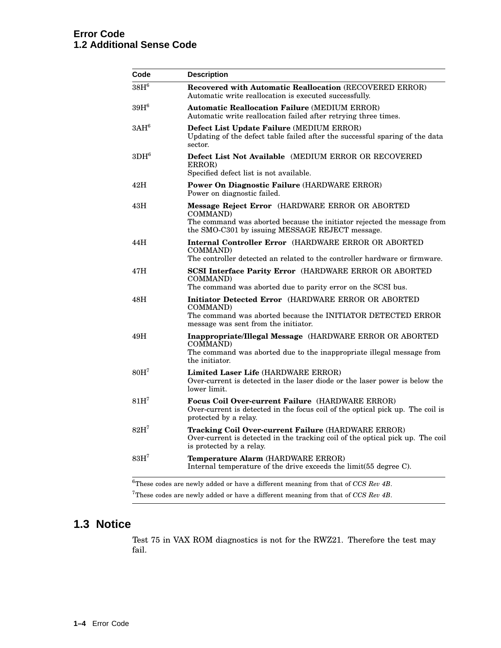| Code             | <b>Description</b>                                                                                                                                                                        |
|------------------|-------------------------------------------------------------------------------------------------------------------------------------------------------------------------------------------|
| $38H^6$          | Recovered with Automatic Reallocation (RECOVERED ERROR)<br>Automatic write reallocation is executed successfully.                                                                         |
| $39H^6$          | <b>Automatic Reallocation Failure (MEDIUM ERROR)</b><br>Automatic write reallocation failed after retrying three times.                                                                   |
| 3AH <sup>6</sup> | Defect List Update Failure (MEDIUM ERROR)<br>Updating of the defect table failed after the successful sparing of the data<br>sector.                                                      |
| $3DH^6$          | <b>Defect List Not Available</b> (MEDIUM ERROR OR RECOVERED)<br>ERROR)<br>Specified defect list is not available.                                                                         |
| 42H              | <b>Power On Diagnostic Failure (HARDWARE ERROR)</b><br>Power on diagnostic failed.                                                                                                        |
| 43H              | Message Reject Error (HARDWARE ERROR OR ABORTED<br>COMMAND)<br>The command was aborted because the initiator rejected the message from<br>the SMO-C301 by issuing MESSAGE REJECT message. |
| 44H              | <b>Internal Controller Error</b> (HARDWARE ERROR OR ABORTED)<br>COMMAND)<br>The controller detected an related to the controller hardware or firmware.                                    |
| 47H              | SCSI Interface Parity Error (HARDWARE ERROR OR ABORTED<br>COMMAND)<br>The command was aborted due to parity error on the SCSI bus.                                                        |
| 48H              | Initiator Detected Error (HARDWARE ERROR OR ABORTED<br>COMMAND)<br>The command was aborted because the INITIATOR DETECTED ERROR<br>message was sent from the initiator.                   |
| 49H              | Inappropriate/Illegal Message (HARDWARE ERROR OR ABORTED<br>COMMAND)<br>The command was aborted due to the inappropriate illegal message from<br>the initiator.                           |
| 80H <sup>7</sup> | Limited Laser Life (HARDWARE ERROR)<br>Over-current is detected in the laser diode or the laser power is below the<br>lower limit.                                                        |
| 81H'             | <b>Focus Coil Over-current Failure</b> (HARDWARE ERROR)<br>Over-current is detected in the focus coil of the optical pick up. The coil is<br>protected by a relay.                        |
| $82H^7$          | <b>Tracking Coil Over-current Failure (HARDWARE ERROR)</b><br>Over-current is detected in the tracking coil of the optical pick up. The coil<br>is protected by a relay.                  |
| 83H <sup>7</sup> | Temperature Alarm (HARDWARE ERROR)<br>Internal temperature of the drive exceeds the limit(55 degree C).                                                                                   |

 ${\rm ^7The}$  codes are newly added or have a different meaning from that of  $CCS$   $Rev$   $4B.$ 

### **1.3 Notice**

Test 75 in VAX ROM diagnostics is not for the RWZ21. Therefore the test may fail.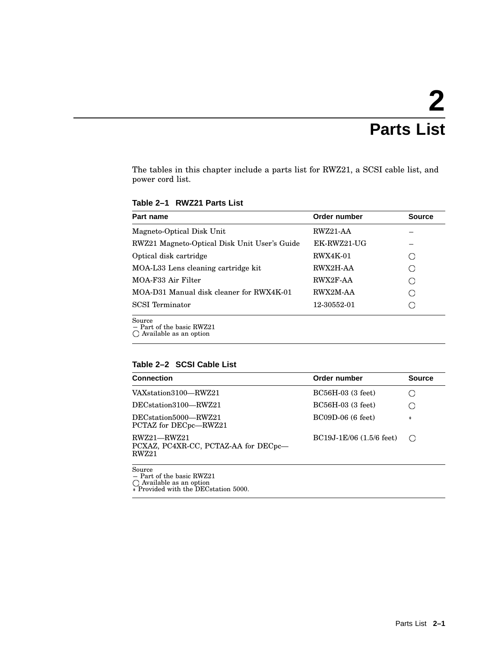# **2 Parts List**

The tables in this chapter include a parts list for RWZ21, a SCSI cable list, and power cord list.

**Table 2–1 RWZ21 Parts List**

| Part name                                                                 | Order number    | <b>Source</b> |
|---------------------------------------------------------------------------|-----------------|---------------|
| Magneto-Optical Disk Unit                                                 | RWZ21-AA        |               |
| RWZ21 Magneto-Optical Disk Unit User's Guide                              | EK-RWZ21-UG     |               |
| Optical disk cartridge                                                    | <b>RWX4K-01</b> |               |
| MOA-L33 Lens cleaning cartridge kit                                       | RWX2H-AA        |               |
| MOA-F33 Air Filter                                                        | RWX2F-AA        |               |
| MOA-D31 Manual disk cleaner for RWX4K-01                                  | RWX2M-AA        |               |
| <b>SCSI</b> Terminator                                                    | 12-30552-01     |               |
| Source<br>$-$ Part of the basic RWZ21<br>$\bigcap$ Available as an option |                 |               |

#### **Table 2–2 SCSI Cable List**

| <b>Connection</b>                                                                                                  | Order number                 | <b>Source</b>    |
|--------------------------------------------------------------------------------------------------------------------|------------------------------|------------------|
| VAXstation3100-RWZ21                                                                                               | $BC56H-03$ (3 feet)          |                  |
| DEC <sub>station</sub> 3100-RWZ21                                                                                  | $BC56H-03$ (3 feet)          |                  |
| DEC <sub>station</sub> 5000-RWZ21<br>PCTAZ for DECpc—RWZ21                                                         | $BC09D-06$ (6 feet)          | $\ast$           |
| $RWZ21 - RWZ21$<br>PCXAZ, PC4XR-CC, PCTAZ-AA for DECpc—<br>RWZ21                                                   | $BC19J-1E/06$ $(1.5/6$ feet) | $\left( \right)$ |
| Source<br>$-$ Part of the basic RWZ21<br>$\bigcap$ Available as an option<br>* Provided with the DEC station 5000. |                              |                  |